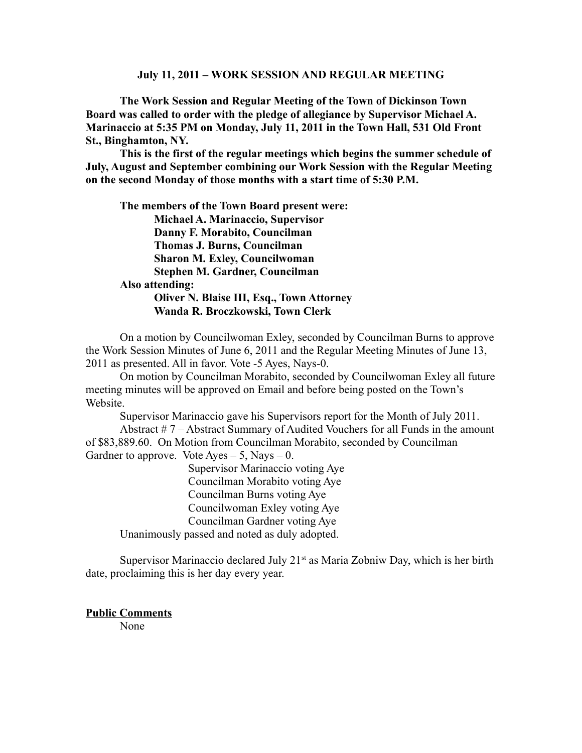#### **July 11, 2011 – WORK SESSION AND REGULAR MEETING**

**The Work Session and Regular Meeting of the Town of Dickinson Town Board was called to order with the pledge of allegiance by Supervisor Michael A. Marinaccio at 5:35 PM on Monday, July 11, 2011 in the Town Hall, 531 Old Front St., Binghamton, NY.** 

**This is the first of the regular meetings which begins the summer schedule of July, August and September combining our Work Session with the Regular Meeting on the second Monday of those months with a start time of 5:30 P.M.**

**The members of the Town Board present were: Michael A. Marinaccio, Supervisor Danny F. Morabito, Councilman Thomas J. Burns, Councilman Sharon M. Exley, Councilwoman Stephen M. Gardner, Councilman Also attending: Oliver N. Blaise III, Esq., Town Attorney Wanda R. Broczkowski, Town Clerk** 

On a motion by Councilwoman Exley, seconded by Councilman Burns to approve the Work Session Minutes of June 6, 2011 and the Regular Meeting Minutes of June 13, 2011 as presented. All in favor. Vote -5 Ayes, Nays-0.

On motion by Councilman Morabito, seconded by Councilwoman Exley all future meeting minutes will be approved on Email and before being posted on the Town's Website.

Supervisor Marinaccio gave his Supervisors report for the Month of July 2011. Abstract # 7 – Abstract Summary of Audited Vouchers for all Funds in the amount of \$83,889.60. On Motion from Councilman Morabito, seconded by Councilman Gardner to approve. Vote Ayes  $-5$ , Nays  $-0$ .

Supervisor Marinaccio voting Aye Councilman Morabito voting Aye Councilman Burns voting Aye Councilwoman Exley voting Aye Councilman Gardner voting Aye Unanimously passed and noted as duly adopted.

Supervisor Marinaccio declared July  $21<sup>st</sup>$  as Maria Zobniw Day, which is her birth date, proclaiming this is her day every year.

**Public Comments**

None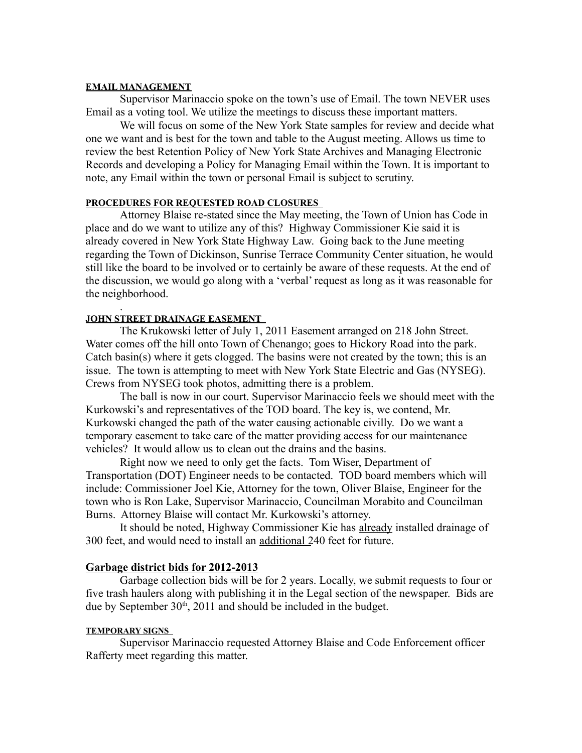#### **EMAIL MANAGEMENT**

Supervisor Marinaccio spoke on the town's use of Email. The town NEVER uses Email as a voting tool. We utilize the meetings to discuss these important matters.

We will focus on some of the New York State samples for review and decide what one we want and is best for the town and table to the August meeting. Allows us time to review the best Retention Policy of New York State Archives and Managing Electronic Records and developing a Policy for Managing Email within the Town. It is important to note, any Email within the town or personal Email is subject to scrutiny.

### **PROCEDURES FOR REQUESTED ROAD CLOSURES**

Attorney Blaise re-stated since the May meeting, the Town of Union has Code in place and do we want to utilize any of this? Highway Commissioner Kie said it is already covered in New York State Highway Law. Going back to the June meeting regarding the Town of Dickinson, Sunrise Terrace Community Center situation, he would still like the board to be involved or to certainly be aware of these requests. At the end of the discussion, we would go along with a 'verbal' request as long as it was reasonable for the neighborhood.

#### . **JOHN STREET DRAINAGE EASEMENT**

The Krukowski letter of July 1, 2011 Easement arranged on 218 John Street. Water comes off the hill onto Town of Chenango; goes to Hickory Road into the park. Catch basin(s) where it gets clogged. The basins were not created by the town; this is an issue. The town is attempting to meet with New York State Electric and Gas (NYSEG). Crews from NYSEG took photos, admitting there is a problem.

The ball is now in our court. Supervisor Marinaccio feels we should meet with the Kurkowski's and representatives of the TOD board. The key is, we contend, Mr. Kurkowski changed the path of the water causing actionable civilly. Do we want a temporary easement to take care of the matter providing access for our maintenance vehicles? It would allow us to clean out the drains and the basins.

Right now we need to only get the facts. Tom Wiser, Department of Transportation (DOT) Engineer needs to be contacted. TOD board members which will include: Commissioner Joel Kie, Attorney for the town, Oliver Blaise, Engineer for the town who is Ron Lake, Supervisor Marinaccio, Councilman Morabito and Councilman Burns. Attorney Blaise will contact Mr. Kurkowski's attorney.

It should be noted, Highway Commissioner Kie has already installed drainage of 300 feet, and would need to install an additional 240 feet for future.

# **Garbage district bids for 2012-2013**

Garbage collection bids will be for 2 years. Locally, we submit requests to four or five trash haulers along with publishing it in the Legal section of the newspaper. Bids are due by September  $30<sup>th</sup>$ ,  $2011$  and should be included in the budget.

### **TEMPORARY SIGNS**

Supervisor Marinaccio requested Attorney Blaise and Code Enforcement officer Rafferty meet regarding this matter.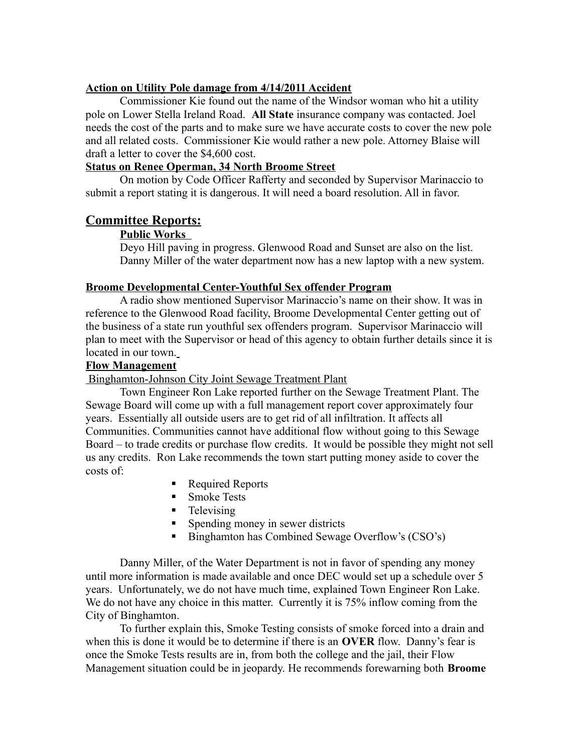## **Action on Utility Pole damage from 4/14/2011 Accident**

Commissioner Kie found out the name of the Windsor woman who hit a utility pole on Lower Stella Ireland Road. **All State** insurance company was contacted. Joel needs the cost of the parts and to make sure we have accurate costs to cover the new pole and all related costs. Commissioner Kie would rather a new pole. Attorney Blaise will draft a letter to cover the \$4,600 cost.

## **Status on Renee Operman, 34 North Broome Street**

On motion by Code Officer Rafferty and seconded by Supervisor Marinaccio to submit a report stating it is dangerous. It will need a board resolution. All in favor.

# **Committee Reports:**

### **Public Works**

Deyo Hill paving in progress. Glenwood Road and Sunset are also on the list. Danny Miller of the water department now has a new laptop with a new system.

## **Broome Developmental Center-Youthful Sex offender Program**

A radio show mentioned Supervisor Marinaccio's name on their show. It was in reference to the Glenwood Road facility, Broome Developmental Center getting out of the business of a state run youthful sex offenders program. Supervisor Marinaccio will plan to meet with the Supervisor or head of this agency to obtain further details since it is located in our town.

### **Flow Management**

Binghamton-Johnson City Joint Sewage Treatment Plant

Town Engineer Ron Lake reported further on the Sewage Treatment Plant. The Sewage Board will come up with a full management report cover approximately four years. Essentially all outside users are to get rid of all infiltration. It affects all Communities. Communities cannot have additional flow without going to this Sewage Board – to trade credits or purchase flow credits. It would be possible they might not sell us any credits. Ron Lake recommends the town start putting money aside to cover the costs of:

- Required Reports
- **Smoke Tests**
- $\blacksquare$  Televising
- Spending money in sewer districts
- Binghamton has Combined Sewage Overflow's (CSO's)

Danny Miller, of the Water Department is not in favor of spending any money until more information is made available and once DEC would set up a schedule over 5 years. Unfortunately, we do not have much time, explained Town Engineer Ron Lake. We do not have any choice in this matter. Currently it is 75% inflow coming from the City of Binghamton.

To further explain this, Smoke Testing consists of smoke forced into a drain and when this is done it would be to determine if there is an **OVER** flow. Danny's fear is once the Smoke Tests results are in, from both the college and the jail, their Flow Management situation could be in jeopardy. He recommends forewarning both **Broome**